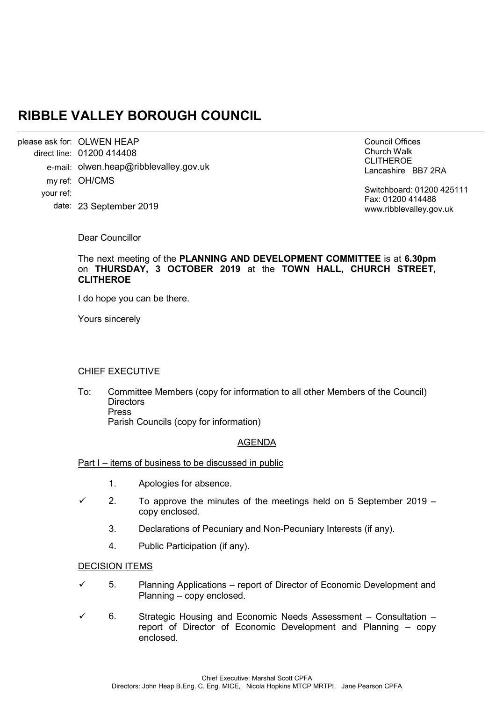# **RIBBLE VALLEY BOROUGH COUNCIL**

please ask for: OLWEN HEAP 01200 414408 direct line: e-mail: olwen.heap@ribblevalley.gov.uk my ref: OH/CMS 23 September 2019 date: your ref:

Council Offices Church Walk CLITHEROE Lancashire BB7 2RA

Switchboard: 01200 425111 Fax: 01200 414488 www.ribblevalley.gov.uk

Dear Councillor

The next meeting of the **PLANNING AND DEVELOPMENT COMMITTEE** is at **6.30pm**  on **THURSDAY, 3 OCTOBER 2019** at the **TOWN HALL, CHURCH STREET, CLITHEROE**

I do hope you can be there.

Yours sincerely

#### CHIEF EXECUTIVE

To: Committee Members (copy for information to all other Members of the Council) **Directors** Press Parish Councils (copy for information)

## AGENDA

#### Part I – items of business to be discussed in public

- 1. Apologies for absence.
- $\checkmark$  2. To approve the minutes of the meetings held on 5 September 2019 copy enclosed.
	- 3. Declarations of Pecuniary and Non-Pecuniary Interests (if any).
	- 4. Public Participation (if any).

#### DECISION ITEMS

- $\checkmark$  5. Planning Applications report of Director of Economic Development and Planning – copy enclosed.
- 6. Strategic Housing and Economic Needs Assessment Consultation report of Director of Economic Development and Planning – copy enclosed.